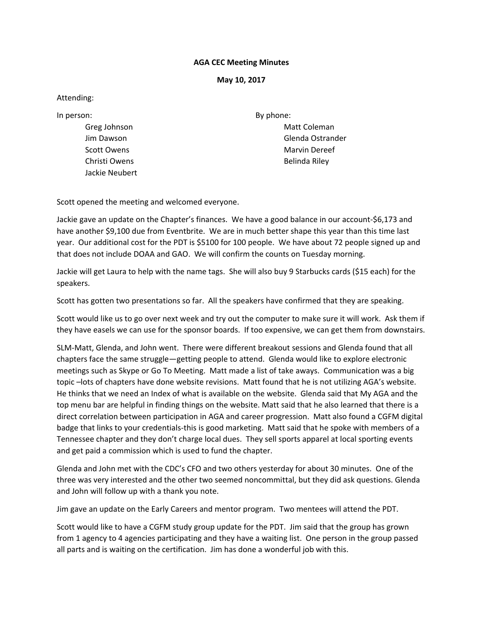## **AGA CEC Meeting Minutes**

## **May 10, 2017**

## Attending:

In person:

Greg Johnson Jim Dawson Scott Owens Christi Owens Jackie Neubert By phone: Matt Coleman Glenda Ostrander Marvin Dereef Belinda Riley

Scott opened the meeting and welcomed everyone.

Jackie gave an update on the Chapter's finances. We have a good balance in our account‐\$6,173 and have another \$9,100 due from Eventbrite. We are in much better shape this year than this time last year. Our additional cost for the PDT is \$5100 for 100 people. We have about 72 people signed up and that does not include DOAA and GAO. We will confirm the counts on Tuesday morning.

Jackie will get Laura to help with the name tags. She will also buy 9 Starbucks cards (\$15 each) for the speakers.

Scott has gotten two presentations so far. All the speakers have confirmed that they are speaking.

Scott would like us to go over next week and try out the computer to make sure it will work. Ask them if they have easels we can use for the sponsor boards. If too expensive, we can get them from downstairs.

SLM‐Matt, Glenda, and John went. There were different breakout sessions and Glenda found that all chapters face the same struggle—getting people to attend. Glenda would like to explore electronic meetings such as Skype or Go To Meeting. Matt made a list of take aways. Communication was a big topic –lots of chapters have done website revisions. Matt found that he is not utilizing AGA's website. He thinks that we need an Index of what is available on the website. Glenda said that My AGA and the top menu bar are helpful in finding things on the website. Matt said that he also learned that there is a direct correlation between participation in AGA and career progression. Matt also found a CGFM digital badge that links to your credentials‐this is good marketing. Matt said that he spoke with members of a Tennessee chapter and they don't charge local dues. They sell sports apparel at local sporting events and get paid a commission which is used to fund the chapter.

Glenda and John met with the CDC's CFO and two others yesterday for about 30 minutes. One of the three was very interested and the other two seemed noncommittal, but they did ask questions. Glenda and John will follow up with a thank you note.

Jim gave an update on the Early Careers and mentor program. Two mentees will attend the PDT.

Scott would like to have a CGFM study group update for the PDT. Jim said that the group has grown from 1 agency to 4 agencies participating and they have a waiting list. One person in the group passed all parts and is waiting on the certification. Jim has done a wonderful job with this.